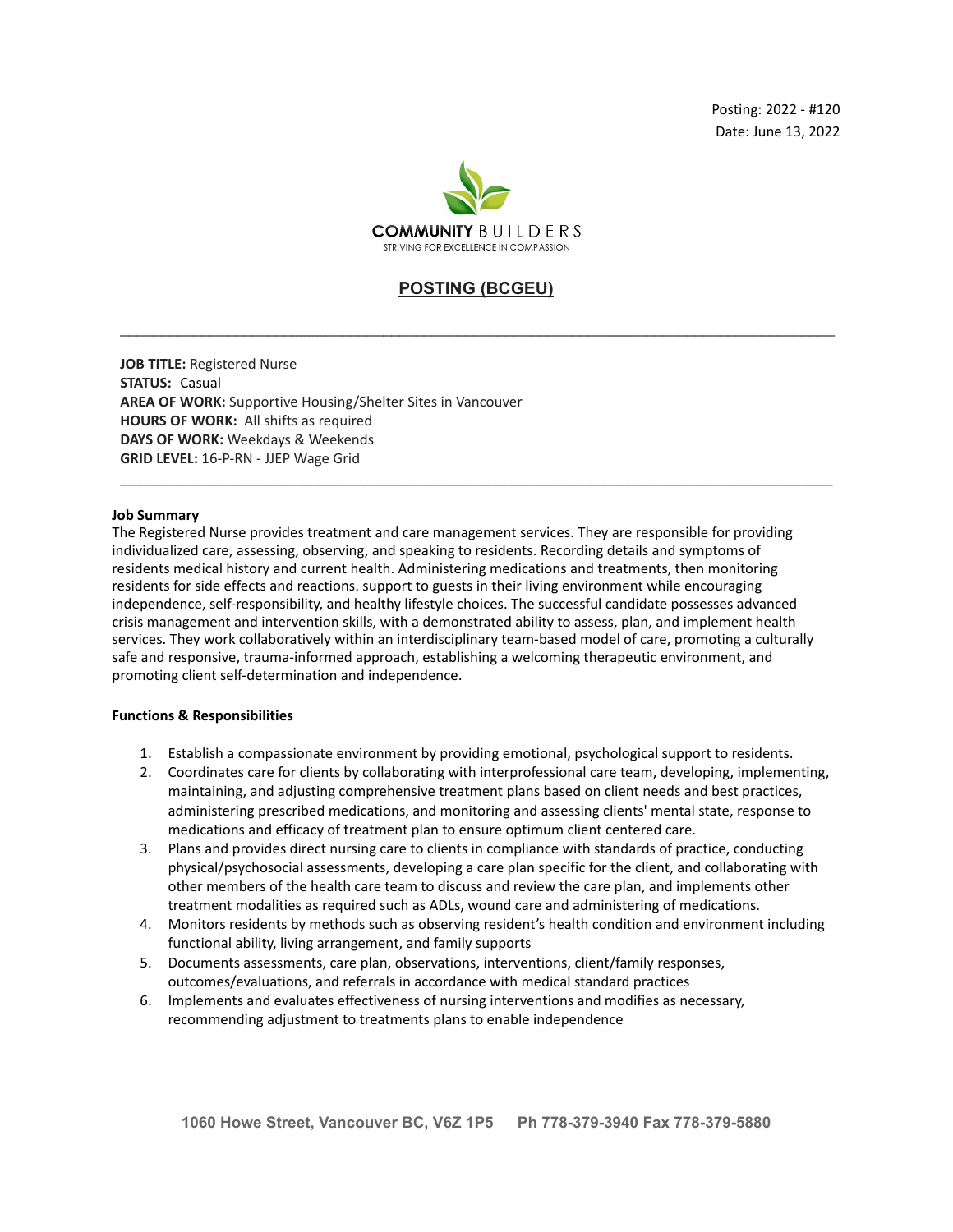

# **POSTING (BCGEU)**

\_\_\_\_\_\_\_\_\_\_\_\_\_\_\_\_\_\_\_\_\_\_\_\_\_\_\_\_\_\_\_\_\_\_\_\_\_\_\_\_\_\_\_\_\_\_\_\_\_\_\_\_\_\_\_\_\_\_\_\_\_\_\_\_\_\_\_\_\_\_\_\_\_\_\_\_\_\_\_\_\_\_\_\_\_\_\_

\_\_\_\_\_\_\_\_\_\_\_\_\_\_\_\_\_\_\_\_\_\_\_\_\_\_\_\_\_\_\_\_\_\_\_\_\_\_\_\_\_\_\_\_\_\_\_\_\_\_\_\_\_\_\_\_\_\_\_\_\_\_\_\_\_\_\_\_\_\_\_\_\_\_\_\_\_\_\_\_\_\_\_\_\_\_\_\_\_\_\_\_

**JOB TITLE:** Registered Nurse **STATUS:** Casual **AREA OF WORK:** Supportive Housing/Shelter Sites in Vancouver **HOURS OF WORK:** All shifts as required **DAYS OF WORK:** Weekdays & Weekends **GRID LEVEL:** 16-P-RN - JJEP Wage Grid

# **Job Summary**

The Registered Nurse provides treatment and care management services. They are responsible for providing individualized care, assessing, observing, and speaking to residents. Recording details and symptoms of residents medical history and current health. Administering medications and treatments, then monitoring residents for side effects and reactions. support to guests in their living environment while encouraging independence, self-responsibility, and healthy lifestyle choices. The successful candidate possesses advanced crisis management and intervention skills, with a demonstrated ability to assess, plan, and implement health services. They work collaboratively within an interdisciplinary team-based model of care, promoting a culturally safe and responsive, trauma-informed approach, establishing a welcoming therapeutic environment, and promoting client self-determination and independence.

# **Functions & Responsibilities**

- 1. Establish a compassionate environment by providing emotional, psychological support to residents.
- 2. Coordinates care for clients by collaborating with interprofessional care team, developing, implementing, maintaining, and adjusting comprehensive treatment plans based on client needs and best practices, administering prescribed medications, and monitoring and assessing clients' mental state, response to medications and efficacy of treatment plan to ensure optimum client centered care.
- 3. Plans and provides direct nursing care to clients in compliance with standards of practice, conducting physical/psychosocial assessments, developing a care plan specific for the client, and collaborating with other members of the health care team to discuss and review the care plan, and implements other treatment modalities as required such as ADLs, wound care and administering of medications.
- 4. Monitors residents by methods such as observing resident's health condition and environment including functional ability, living arrangement, and family supports
- 5. Documents assessments, care plan, observations, interventions, client/family responses, outcomes/evaluations, and referrals in accordance with medical standard practices
- 6. Implements and evaluates effectiveness of nursing interventions and modifies as necessary, recommending adjustment to treatments plans to enable independence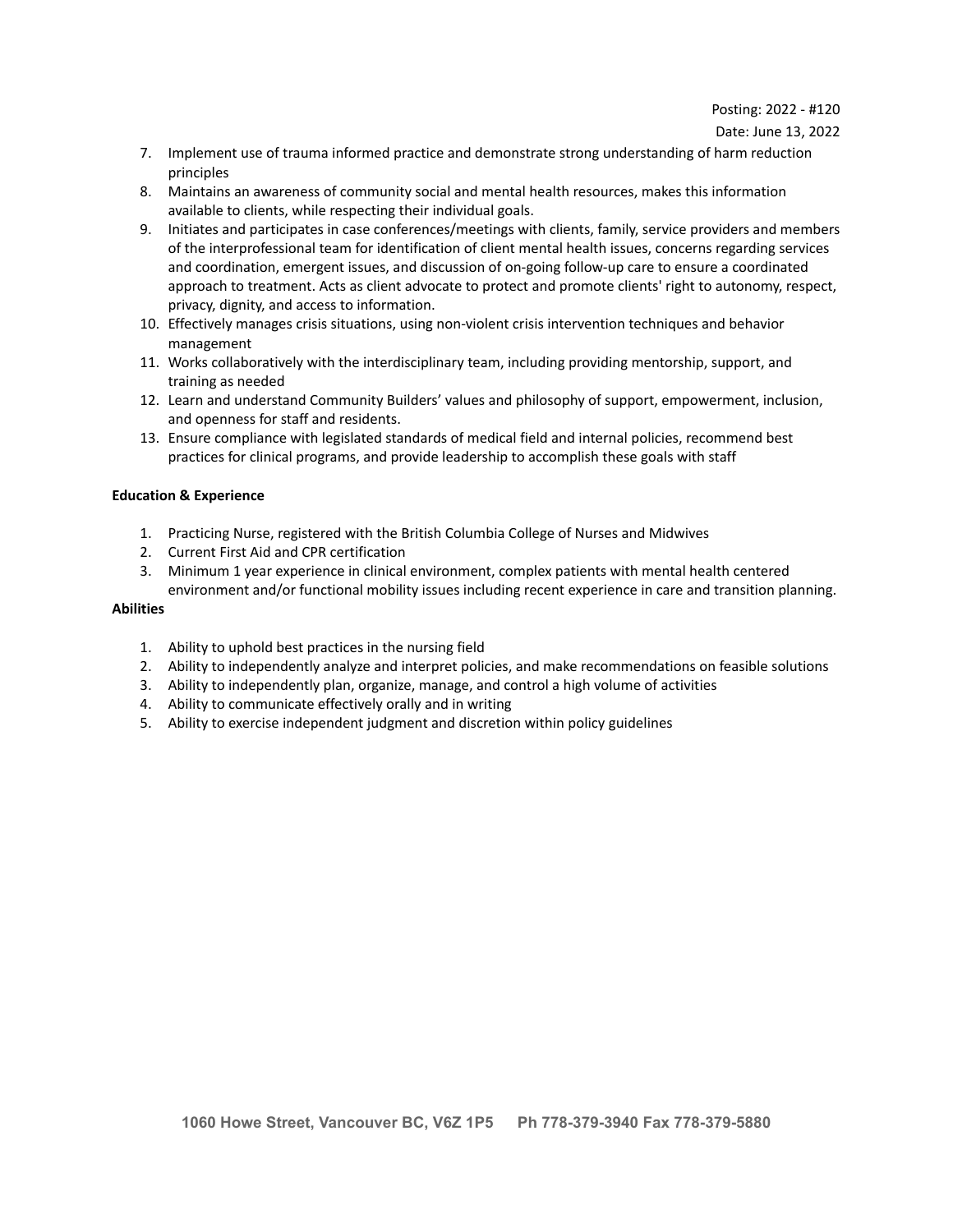#### Date: June 13, 2022

- 7. Implement use of trauma informed practice and demonstrate strong understanding of harm reduction principles
- 8. Maintains an awareness of community social and mental health resources, makes this information available to clients, while respecting their individual goals.
- 9. Initiates and participates in case conferences/meetings with clients, family, service providers and members of the interprofessional team for identification of client mental health issues, concerns regarding services and coordination, emergent issues, and discussion of on-going follow-up care to ensure a coordinated approach to treatment. Acts as client advocate to protect and promote clients' right to autonomy, respect, privacy, dignity, and access to information.
- 10. Effectively manages crisis situations, using non-violent crisis intervention techniques and behavior management
- 11. Works collaboratively with the interdisciplinary team, including providing mentorship, support, and training as needed
- 12. Learn and understand Community Builders' values and philosophy of support, empowerment, inclusion, and openness for staff and residents.
- 13. Ensure compliance with legislated standards of medical field and internal policies, recommend best practices for clinical programs, and provide leadership to accomplish these goals with staff

# **Education & Experience**

- 1. Practicing Nurse, registered with the British Columbia College of Nurses and Midwives
- 2. Current First Aid and CPR certification
- 3. Minimum 1 year experience in clinical environment, complex patients with mental health centered environment and/or functional mobility issues including recent experience in care and transition planning.

# **Abilities**

- 1. Ability to uphold best practices in the nursing field
- 2. Ability to independently analyze and interpret policies, and make recommendations on feasible solutions
- 3. Ability to independently plan, organize, manage, and control a high volume of activities
- 4. Ability to communicate effectively orally and in writing
- 5. Ability to exercise independent judgment and discretion within policy guidelines